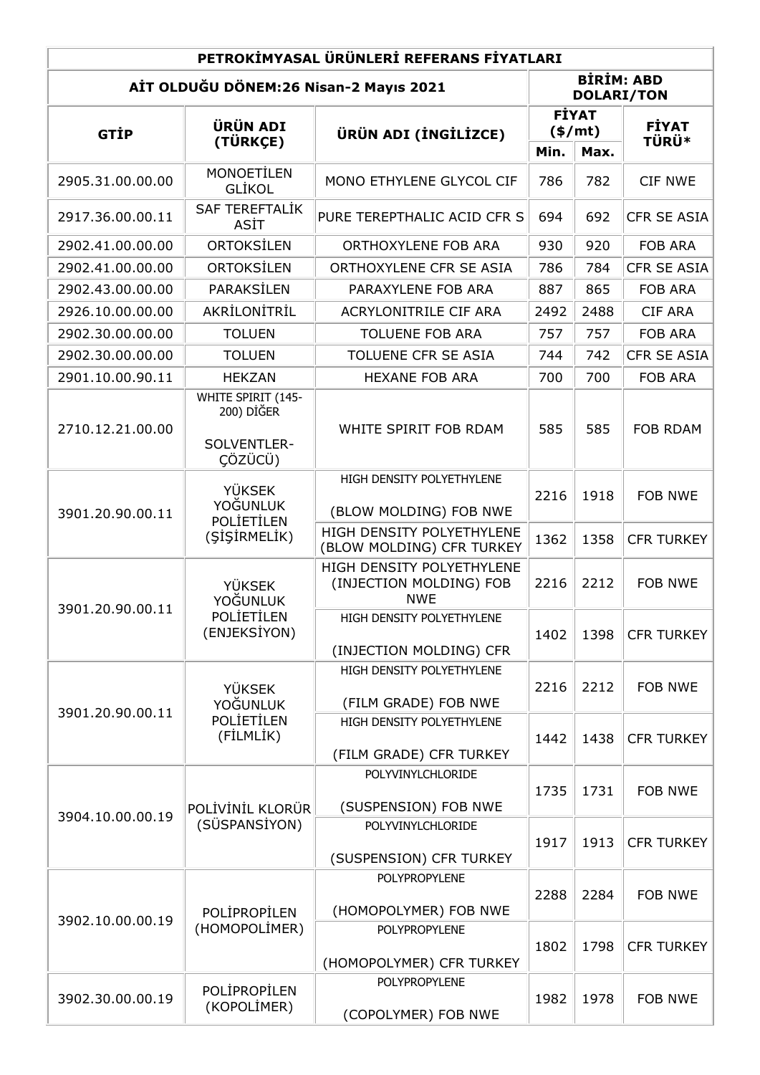| PETROKİMYASAL ÜRÜNLERİ REFERANS FİYATLARI |                                                                |                                                                    |                          |                                        |                    |  |  |  |  |
|-------------------------------------------|----------------------------------------------------------------|--------------------------------------------------------------------|--------------------------|----------------------------------------|--------------------|--|--|--|--|
| AİT OLDUĞU DÖNEM:26 Nisan-2 Mayıs 2021    |                                                                |                                                                    |                          | <b>BİRİM: ABD</b><br><b>DOLARI/TON</b> |                    |  |  |  |  |
| <b>GTIP</b>                               | <b>ÜRÜN ADI</b><br>(TÜRKÇE)                                    | ÜRÜN ADI (İNGİLİZCE)                                               | <b>FİYAT</b><br>$(*/mt)$ |                                        | <b>FİYAT</b>       |  |  |  |  |
|                                           |                                                                |                                                                    | Min.                     | Max.                                   | <b>TÜRÜ*</b>       |  |  |  |  |
| 2905.31.00.00.00                          | <b>MONOETİLEN</b><br><b>GLIKOL</b>                             | MONO ETHYLENE GLYCOL CIF                                           | 786                      | 782                                    | <b>CIF NWE</b>     |  |  |  |  |
| 2917.36.00.00.11                          | <b>SAF TEREFTALİK</b><br>ASİT                                  | PURE TEREPTHALIC ACID CFR S                                        | 694                      | 692                                    | CFR SE ASIA        |  |  |  |  |
| 2902.41.00.00.00                          | <b>ORTOKSİLEN</b>                                              | ORTHOXYLENE FOB ARA                                                | 930                      | 920                                    | <b>FOB ARA</b>     |  |  |  |  |
| 2902.41.00.00.00                          | ORTOKSİLEN                                                     | ORTHOXYLENE CFR SE ASIA                                            | 786                      | 784                                    | CFR SE ASIA        |  |  |  |  |
| 2902.43.00.00.00                          | PARAKSİLEN                                                     | PARAXYLENE FOB ARA                                                 | 887                      | 865                                    | <b>FOB ARA</b>     |  |  |  |  |
| 2926.10.00.00.00                          | AKRİLONİTRİL                                                   | ACRYLONITRILE CIF ARA                                              | 2492                     | 2488                                   | <b>CIF ARA</b>     |  |  |  |  |
| 2902.30.00.00.00                          | <b>TOLUEN</b>                                                  | <b>TOLUENE FOB ARA</b>                                             | 757                      | 757                                    | <b>FOB ARA</b>     |  |  |  |  |
| 2902.30.00.00.00                          | <b>TOLUEN</b>                                                  | TOLUENE CFR SE ASIA                                                | 744                      | 742                                    | <b>CFR SE ASIA</b> |  |  |  |  |
| 2901.10.00.90.11                          | <b>HEKZAN</b>                                                  | <b>HEXANE FOB ARA</b>                                              | 700                      | 700                                    | FOB ARA            |  |  |  |  |
| 2710.12.21.00.00                          | WHITE SPIRIT (145-<br>200) DİĞER<br>SOLVENTLER-<br>CÖZÜCÜ)     | WHITE SPIRIT FOB RDAM                                              | 585                      | 585                                    | <b>FOB RDAM</b>    |  |  |  |  |
| 3901.20.90.00.11                          | <b>YÜKSEK</b><br>YOĞUNLUK<br><b>POLIETILEN</b><br>(SİŞİRMELİK) | HIGH DENSITY POLYETHYLENE<br>(BLOW MOLDING) FOB NWE                | 2216                     | 1918                                   | <b>FOB NWE</b>     |  |  |  |  |
|                                           |                                                                | HIGH DENSITY POLYETHYLENE<br>(BLOW MOLDING) CFR TURKEY             | 1362                     | 1358                                   | <b>CFR TURKEY</b>  |  |  |  |  |
| 3901.20.90.00.11                          | <b>YÜKSEK</b><br>YOĞUNLUK<br>POLIETILEN<br>(ENJEKSİYON)        | HIGH DENSITY POLYETHYLENE<br>(INJECTION MOLDING) FOB<br><b>NWE</b> | 2216                     | 2212                                   | <b>FOB NWE</b>     |  |  |  |  |
|                                           |                                                                | HIGH DENSITY POLYETHYLENE<br>(INJECTION MOLDING) CFR               | 1402                     | 1398                                   | <b>CFR TURKEY</b>  |  |  |  |  |
| 3901.20.90.00.11                          | <b>YÜKSEK</b><br>YOĞUNLUK<br>POLIETILEN<br>(FİLMLİK)           | HIGH DENSITY POLYETHYLENE<br>(FILM GRADE) FOB NWE                  | 2216                     | 2212                                   | <b>FOB NWE</b>     |  |  |  |  |
|                                           |                                                                | HIGH DENSITY POLYETHYLENE<br>(FILM GRADE) CFR TURKEY               | 1442                     | 1438                                   | <b>CFR TURKEY</b>  |  |  |  |  |
| 3904.10.00.00.19                          | POLİVİNİL KLORÜR<br>(SÜSPANSİYON)                              | POLYVINYLCHLORIDE<br>(SUSPENSION) FOB NWE                          | 1735                     | 1731                                   | <b>FOB NWE</b>     |  |  |  |  |
|                                           |                                                                | POLYVINYLCHLORIDE<br>(SUSPENSION) CFR TURKEY                       | 1917                     | 1913                                   | <b>CFR TURKEY</b>  |  |  |  |  |
| 3902.10.00.00.19                          | POLİPROPİLEN<br>(HOMOPOLİMER)                                  | POLYPROPYLENE<br>(HOMOPOLYMER) FOB NWE                             | 2288                     | 2284                                   | FOB NWE            |  |  |  |  |
|                                           |                                                                | <b>POLYPROPYLENE</b><br>(HOMOPOLYMER) CFR TURKEY                   | 1802                     | 1798                                   | <b>CFR TURKEY</b>  |  |  |  |  |
| 3902.30.00.00.19                          | POLİPROPİLEN<br>(KOPOLİMER)                                    | POLYPROPYLENE<br>(COPOLYMER) FOB NWE                               | 1982                     | 1978                                   | FOB NWE            |  |  |  |  |